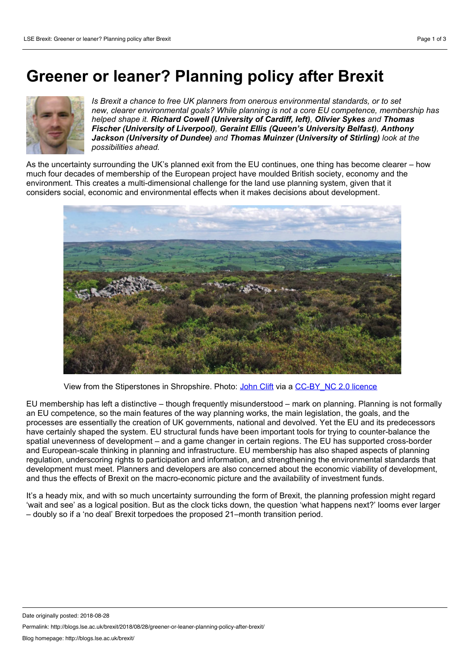## **Greener or leaner? Planning policy after Brexit**



*Is Brexit a chance to free UK planners from onerous environmental standards, or to set new, clearer environmental goals? While planning is not a core EU competence, membership has helped shape it. Richard Cowell (University of Cardiff, left), Olivier Sykes and Thomas Fischer (University of Liverpool), Geraint Ellis (Queen's University Belfast), Anthony Jackson (University of Dundee) and Thomas Muinzer (University of Stirling) look at the possibilities ahead.*

As the uncertainty surrounding the UK's planned exit from the EU continues, one thing has become clearer – how much four decades of membership of the European project have moulded British society, economy and the environment. This creates a multi-dimensional challenge for the land use planning system, given that it considers social, economic and environmental effects when it makes decisions about development.



View from the Stiperstones in Shropshire. Photo: [John](https://www.flickr.com/photos/johnclift/4677517315/in/photolist-88kuWg-gaHM7d-a1iPzA-uxFCpB-4zjTu-gaHC2D-BSzLxE-gaHJ3h-sqJ4J3-7sju92-c1MBEh-a6LoSs-6JMnsT-6PUGSy-9HkivM-8sda3C-sbqx71-84Zcru-9eVmGC-aKMQ8-aKPxD-bwkVys-opvKfP-adqJU1-GNnR3-6JNvaD-9116Gn-8s6Hw4-gFUsm4-zjcvpv-AeUBzW-UBXgFr-pTAWmo-KBb1v9-VALXx9-6TVffe-sqN9t5-o6fLfQ-suskNS-7tg8aR-7q7PJP-2EqCqr-7gNGtE-ELCpe7-EAdKbC-9uPRmn-ZKjZDP-ZGBZHS-8ofFVg-Vod6Cy) Clift via a [CC-BY\\_NC](https://creativecommons.org/licenses/by-nc/2.0/) 2.0 licence

EU membership has lefta distinctive – though frequently misunderstood – mark on planning. Planning is not formally an EU competence, so the main features of the way planning works, the main legislation, the goals, and the processes are essentially the creation of UK governments, national and devolved. Yet the EU and its predecessors have certainly shaped the system. EU structural funds have been important tools for trying to counter-balance the spatial unevenness of development – and a game changer in certain regions. The EU has supported cross-border and European-scale thinking in planning and infrastructure. EU membership has also shaped aspects of planning regulation, underscoring rights to participation and information, and strengthening the environmental standards that development must meet. Planners and developers are also concerned about the economic viability of development, and thus the effects of Brexit on the macro-economic picture and the availability of investment funds.

It's a heady mix, and with so much uncertainty surrounding the form of Brexit, the planning profession might regard 'wait and see' as a logical position. But as the clock ticks down, the question 'what happens next?' looms ever larger – doubly so if a 'no deal' Brexit torpedoes the proposed 21–month transition period.

Permalink: http://blogs.lse.ac.uk/brexit/2018/08/28/greener-or-leaner-planning-policy-after-brexit/

Date originally posted: 2018-08-28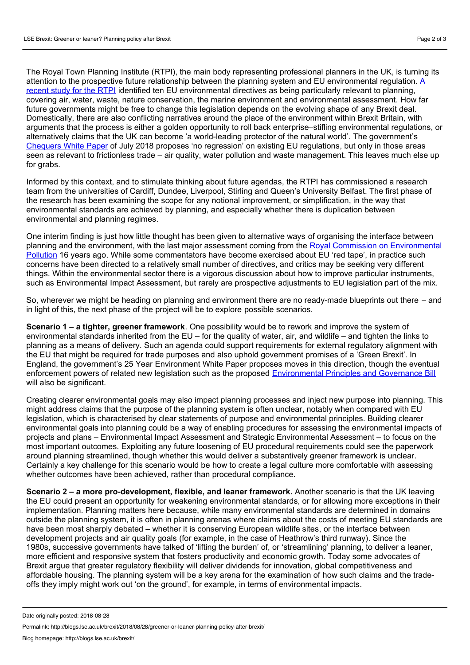The Royal Town Planning Institute (RTPI), the main body representing professional planners in the UK, is turning its attention to the prospective future relationship between the planning system and EU environmental regulation. A recent study for the RTPI identified ten EU [environmental](http://www.rtpi.org.uk/knowledge/research/projects/eu-withdrawal/) directives as being particularly relevant to planning, covering air, water, waste, nature conservation, the marine environment and environmental assessment. How far future governments might be free to change this legislation depends on the evolving shape of any Brexit deal. Domestically, there are also conflicting narratives around the place of the environment within Brexit Britain, with arguments that the process is either a golden opportunity to roll back enterprise–stifling environmental regulations, or alternatively claims that the UK can become 'a world-leading protector of the natural world'. The government's [Chequers](https://assets.publishing.service.gov.uk/.../CHEQUERS_STATEMENT_-_FINAL.PDF) White Paper of July 2018 proposes 'no regression' on existing EU regulations, but only in those areas seen as relevant to frictionless trade – air quality, water pollution and waste management. This leaves much else up for grabs.

Informed by this context, and to stimulate thinking about future agendas, the RTPI has commissioned a research team from the universities of Cardiff, Dundee, Liverpool, Stirling and Queen's University Belfast. The first phase of the research has been examining the scope for any notional improvement, or simplification, in the way that environmental standards are achieved by planning, and especially whether there is duplication between environmental and planning regimes.

One interim finding is just how little thought has been given to alternative ways of organising the interface between planning and the environment, with the last major assessment coming from the Royal Commission on [Environmental](http://webarchive.nationalarchives.gov.uk/20110322143813/http:/www.rcep.org.uk/reports/index.htm) Pollution 16 years ago. While some commentators have become exercised about EU 'red tape', in practice such concerns have been directed to a relatively small number of directives, and critics may be seeking very different things. Within the environmental sector there is a vigorous discussion about how to improve particular instruments, such as Environmental Impact Assessment, but rarely are prospective adjustments to EU legislation part of the mix.

So, wherever we might be heading on planning and environment there are no ready-made blueprints out there – and in light of this, the next phase of the project will be to explore possible scenarios.

**Scenario 1 – a tighter, greener framework**. One possibility would be to rework and improve the system of environmental standards inherited from the EU – for the quality of water, air, and wildlife – and tighten the links to planning as a means of delivery. Such an agenda could support requirements for external regulatory alignment with the EU that might be required for trade purposes and also uphold government promises of a 'Green Brexit'. In England, the government's 25 Year Environment White Paper proposes moves in this direction, though the eventual enforcement powers of related new legislation such as the proposed [Environmental](https://consult.defra.gov.uk/eu/environmental-principles-and-governance/) Principles and Governance Bill will also be significant.

Creating clearer environmental goals may also impact planning processes and inject new purpose into planning. This might address claims that the purpose of the planning system is often unclear, notably when compared with EU legislation, which is characterised by clear statements of purpose and environmental principles. Building clearer environmental goals into planning could be a way of enabling procedures for assessing the environmental impacts of projects and plans – Environmental Impact Assessment and Strategic Environmental Assessment – to focus on the most important outcomes. Exploiting any future loosening of EU procedural requirements could see the paperwork around planning streamlined, though whether this would deliver a substantively greener framework is unclear. Certainly a key challenge for this scenario would be how to create a legal culture more comfortable with assessing whether outcomes have been achieved, rather than procedural compliance.

**Scenario 2 – a more pro-development, flexible, and leaner framework.** Another scenario is that the UK leaving the EU could present an opportunity for weakening environmental standards, or for allowing more exceptions in their implementation. Planning matters here because, while many environmental standards are determined in domains outside the planning system, it is often in planning arenas where claims about the costs of meeting EU standards are have been most sharply debated – whether it is conserving European wildlife sites, or the interface between development projects and air quality goals (for example, in the case of Heathrow's third runway). Since the 1980s, successive governments have talked of 'lifting the burden' of, or 'streamlining' planning, to deliver a leaner, more efficient and responsive system that fosters productivity and economic growth. Today some advocates of Brexit argue that greater regulatory flexibility will deliver dividends for innovation, global competitiveness and affordable housing. The planning system will be a key arena for the examination of how such claims and the trade offs they imply might work out'on the ground', for example, in terms of environmental impacts.

Permalink: http://blogs.lse.ac.uk/brexit/2018/08/28/greener-or-leaner-planning-policy-after-brexit/

Date originally posted: 2018-08-28